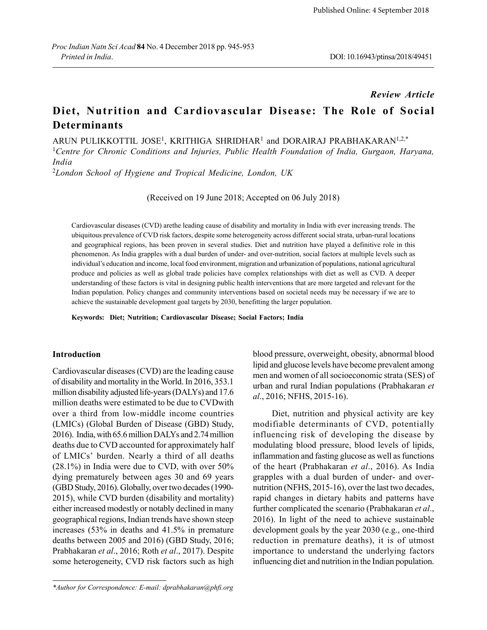### *Review Article*

# **Diet, Nutrition and Cardiovascular Disease: The Role of Social Determinants**

ARUN PULIKKOTTIL JOSE<sup>1</sup>, KRITHIGA SHRIDHAR<sup>1</sup> and DORAIRAJ PRABHAKARAN<sup>1,2,\*</sup>

<sup>1</sup>*Centre for Chronic Conditions and Injuries, Public Health Foundation of India, Gurgaon, Haryana, India*

<sup>2</sup>*London School of Hygiene and Tropical Medicine, London, UK*

(Received on 19 June 2018; Accepted on 06 July 2018)

Cardiovascular diseases (CVD) arethe leading cause of disability and mortality in India with ever increasing trends. The ubiquitous prevalence of CVD risk factors, despite some heterogeneity across different social strata, urban-rural locations and geographical regions, has been proven in several studies. Diet and nutrition have played a definitive role in this phenomenon. As India grapples with a dual burden of under- and over-nutrition, social factors at multiple levels such as individual's education and income, local food environment, migration and urbanization of populations, national agricultural produce and policies as well as global trade policies have complex relationships with diet as well as CVD. A deeper understanding of these factors is vital in designing public health interventions that are more targeted and relevant for the Indian population. Policy changes and community interventions based on societal needs may be necessary if we are to achieve the sustainable development goal targets by 2030, benefitting the larger population.

**Keywords: Diet; Nutrition; Cardiovascular Disease; Social Factors; India**

# **Introduction**

Cardiovascular diseases (CVD) are the leading cause of disability and mortality in the World. In 2016, 353.1 million disability adjusted life-years (DALYs) and 17.6 million deaths were estimated to be due to CVDwith over a third from low-middle income countries (LMICs) (Global Burden of Disease (GBD) Study, 2016). India, with 65.6 million DALYs and 2.74 million deaths due to CVD accounted for approximately half of LMICs' burden. Nearly a third of all deaths (28.1%) in India were due to CVD, with over 50% dying prematurely between ages 30 and 69 years (GBD Study, 2016). Globally, over two decades (1990- 2015), while CVD burden (disability and mortality) either increased modestly or notably declined in many geographical regions, Indian trends have shown steep increases (53% in deaths and 41.5% in premature deaths between 2005 and 2016) (GBD Study, 2016; Prabhakaran *et al*., 2016; Roth *et al*., 2017). Despite some heterogeneity, CVD risk factors such as high blood pressure, overweight, obesity, abnormal blood lipid and glucose levels have become prevalent among men and women of all socioeconomic strata (SES) of urban and rural Indian populations (Prabhakaran *et al*., 2016; NFHS, 2015-16).

Diet, nutrition and physical activity are key modifiable determinants of CVD, potentially influencing risk of developing the disease by modulating blood pressure, blood levels of lipids, inflammation and fasting glucose as well as functions of the heart (Prabhakaran *et al*., 2016). As India grapples with a dual burden of under- and overnutrition (NFHS, 2015-16), over the last two decades, rapid changes in dietary habits and patterns have further complicated the scenario (Prabhakaran *et al*., 2016). In light of the need to achieve sustainable development goals by the year 2030 (e.g., one-third reduction in premature deaths), it is of utmost importance to understand the underlying factors influencing diet and nutrition in the Indian population.

*<sup>\*</sup>Author for Correspondence: E-mail: dprabhakaran@phfi.org*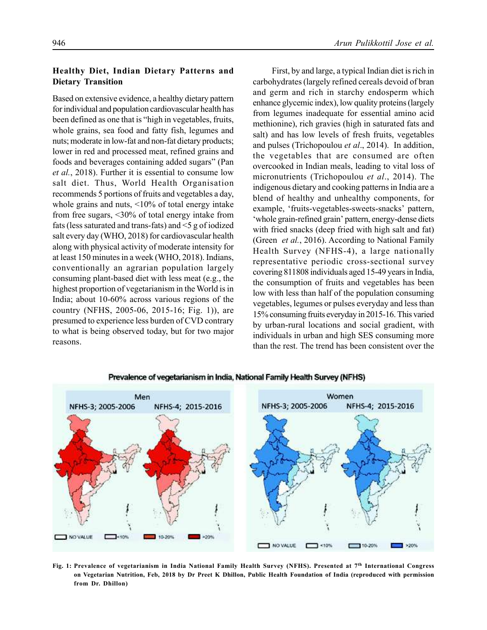**Dietary Transition**

# Based on extensive evidence, a healthy dietary pattern for individual and population cardiovascular health has been defined as one that is "high in vegetables, fruits, whole grains, sea food and fatty fish, legumes and nuts; moderate in low-fat and non-fat dietary products; lower in red and processed meat, refined grains and foods and beverages containing added sugars" (Pan *et al.*, 2018). Further it is essential to consume low salt diet. Thus, World Health Organisation recommends 5 portions of fruits and vegetables a day, whole grains and nuts, <10% of total energy intake from free sugars, <30% of total energy intake from fats (less saturated and trans-fats) and <5 g of iodized salt every day (WHO, 2018) for cardiovascular health

**Healthy Diet, Indian Dietary Patterns and**

along with physical activity of moderate intensity for at least 150 minutes in a week (WHO, 2018). Indians, conventionally an agrarian population largely consuming plant-based diet with less meat (e.g., the highest proportion of vegetarianism in the World is in India; about 10-60% across various regions of the country (NFHS, 2005-06, 2015-16; Fig. 1)), are presumed to experience less burden of CVD contrary to what is being observed today, but for two major reasons.

First, by and large, a typical Indian diet is rich in carbohydrates (largely refined cereals devoid of bran and germ and rich in starchy endosperm which enhance glycemic index), low quality proteins (largely from legumes inadequate for essential amino acid methionine), rich gravies (high in saturated fats and salt) and has low levels of fresh fruits, vegetables and pulses (Trichopoulou *et al*., 2014). In addition, the vegetables that are consumed are often overcooked in Indian meals, leading to vital loss of micronutrients (Trichopoulou *et al*., 2014). The indigenous dietary and cooking patterns in India are a blend of healthy and unhealthy components, for example, 'fruits-vegetables-sweets-snacks' pattern, 'whole grain-refined grain' pattern, energy-dense diets with fried snacks (deep fried with high salt and fat) (Green *et al.*, 2016). According to National Family Health Survey (NFHS-4), a large nationally representative periodic cross-sectional survey covering 811808 individuals aged 15-49 years in India, the consumption of fruits and vegetables has been low with less than half of the population consuming vegetables, legumes or pulses everyday and less than 15% consuming fruits everyday in 2015-16. This varied by urban-rural locations and social gradient, with individuals in urban and high SES consuming more than the rest. The trend has been consistent over the



Prevalence of vegetarianism in India, National Family Health Survey (NFHS)

**Fig. 1: Prevalence of vegetarianism in India National Family Health Survey (NFHS). Presented at 7th International Congress on Vegetarian Nutrition, Feb, 2018 by Dr Preet K Dhillon, Public Health Foundation of India (reproduced with permission from Dr. Dhillon)**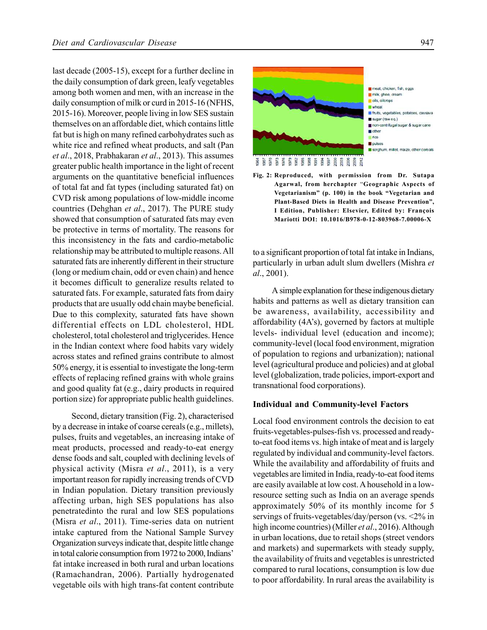last decade (2005-15), except for a further decline in the daily consumption of dark green, leafy vegetables among both women and men, with an increase in the daily consumption of milk or curd in 2015-16 (NFHS, 2015-16). Moreover, people living in low SES sustain themselves on an affordable diet, which contains little fat but is high on many refined carbohydrates such as white rice and refined wheat products, and salt (Pan *et al*., 2018, Prabhakaran *et al*., 2013). This assumes greater public health importance in the light of recent arguments on the quantitative beneficial influences of total fat and fat types (including saturated fat) on CVD risk among populations of low-middle income countries (Dehghan *et al*., 2017). The PURE study showed that consumption of saturated fats may even be protective in terms of mortality. The reasons for this inconsistency in the fats and cardio-metabolic relationship may be attributed to multiple reasons. All saturated fats are inherently different in their structure (long or medium chain, odd or even chain) and hence it becomes difficult to generalize results related to saturated fats. For example, saturated fats from dairy products that are usually odd chain maybe beneficial. Due to this complexity, saturated fats have shown differential effects on LDL cholesterol, HDL cholesterol, total cholesterol and triglycerides. Hence in the Indian context where food habits vary widely across states and refined grains contribute to almost 50% energy, it is essential to investigate the long-term effects of replacing refined grains with whole grains and good quality fat (e.g., dairy products in required portion size) for appropriate public health guidelines.

Second, dietary transition (Fig. 2), characterised by a decrease in intake of coarse cereals (e.g., millets), pulses, fruits and vegetables, an increasing intake of meat products, processed and ready-to-eat energy dense foods and salt, coupled with declining levels of physical activity (Misra *et al*., 2011), is a very important reason for rapidly increasing trends of CVD in Indian population. Dietary transition previously affecting urban, high SES populations has also penetratedinto the rural and low SES populations (Misra *et al*., 2011). Time-series data on nutrient intake captured from the National Sample Survey Organization surveys indicate that, despite little change in total calorie consumption from 1972 to 2000, Indians' fat intake increased in both rural and urban locations (Ramachandran, 2006). Partially hydrogenated vegetable oils with high trans-fat content contribute



3 5 5 5 5 5 5 6 7 6 7 6 7 6 7 6 7

meat, chicken, fish, eggs milk, ghee, cream ois, oilcrops **Wheat** la fruits, vegetables, potatoes, cassava sugar (raw eq.) non-centrifugal sugar & sugar cane g other  $m$  noe pulses sorghum, millet, maize, other cereals

**Fig. 2: Reproduced, with permission from Dr. Sutapa Agarwal, from herchapter** "**Geographic Aspects of Vegetarianism" (p. 100) in the book "Vegetarian and Plant-Based Diets in Health and Disease Prevention", I Edition, Publisher: Elsevier, Edited by: François Mariotti DOI: 10.1016/B978-0-12-803968-7.00006-X**

to a significant proportion of total fat intake in Indians, particularly in urban adult slum dwellers (Mishra *et al*., 2001).

A simple explanation for these indigenous dietary habits and patterns as well as dietary transition can be awareness, availability, accessibility and affordability (4A's), governed by factors at multiple levels- individual level (education and income); community-level (local food environment, migration of population to regions and urbanization); national level (agricultural produce and policies) and at global level (globalization, trade policies, import-export and transnational food corporations).

# **Individual and Community-level Factors**

Local food environment controls the decision to eat fruits-vegetables-pulses-fish vs. processed and readyto-eat food items vs. high intake of meat and is largely regulated by individual and community-level factors. While the availability and affordability of fruits and vegetables are limited in India, ready-to-eat food items are easily available at low cost. A household in a lowresource setting such as India on an average spends approximately 50% of its monthly income for 5 servings of fruits-vegetables/day/person (vs. <2% in high income countries) (Miller *et al*., 2016). Although in urban locations, due to retail shops (street vendors and markets) and supermarkets with steady supply, the availability of fruits and vegetables is unrestricted compared to rural locations, consumption is low due to poor affordability. In rural areas the availability is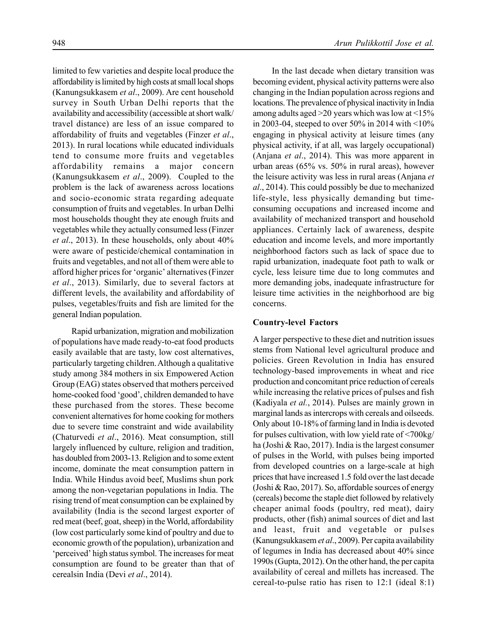limited to few varieties and despite local produce the affordability is limited by high costs at small local shops (Kanungsukkasem *et al*., 2009). Are cent household survey in South Urban Delhi reports that the availability and accessibility (accessible at short walk/ travel distance) are less of an issue compared to affordability of fruits and vegetables (Finzer *et al*., 2013). In rural locations while educated individuals tend to consume more fruits and vegetables affordability remains a major concern (Kanungsukkasem *et al*., 2009). Coupled to the problem is the lack of awareness across locations and socio-economic strata regarding adequate consumption of fruits and vegetables. In urban Delhi most households thought they ate enough fruits and vegetables while they actually consumed less (Finzer *et al*., 2013). In these households, only about 40% were aware of pesticide/chemical contamination in fruits and vegetables, and not all of them were able to afford higher prices for 'organic' alternatives (Finzer *et al*., 2013). Similarly, due to several factors at different levels, the availability and affordability of pulses, vegetables/fruits and fish are limited for the general Indian population.

Rapid urbanization, migration and mobilization of populations have made ready-to-eat food products easily available that are tasty, low cost alternatives, particularly targeting children. Although a qualitative study among 384 mothers in six Empowered Action Group (EAG) states observed that mothers perceived home-cooked food 'good', children demanded to have these purchased from the stores. These become convenient alternatives for home cooking for mothers due to severe time constraint and wide availability (Chaturvedi *et al*., 2016). Meat consumption, still largely influenced by culture, religion and tradition, has doubled from 2003-13. Religion and to some extent income, dominate the meat consumption pattern in India. While Hindus avoid beef, Muslims shun pork among the non-vegetarian populations in India. The rising trend of meat consumption can be explained by availability (India is the second largest exporter of red meat (beef, goat, sheep) in the World, affordability (low cost particularly some kind of poultry and due to economic growth of the population), urbanization and 'perceived' high status symbol. The increases for meat consumption are found to be greater than that of cerealsin India (Devi *et al*., 2014).

In the last decade when dietary transition was becoming evident, physical activity patterns were also changing in the Indian population across regions and locations. The prevalence of physical inactivity in India among adults aged >20 years which was low at <15% in 2003-04, steeped to over 50% in 2014 with  $\leq 10\%$ engaging in physical activity at leisure times (any physical activity, if at all, was largely occupational) (Anjana *et al*., 2014). This was more apparent in urban areas (65% vs. 50% in rural areas), however the leisure activity was less in rural areas (Anjana *et al*., 2014). This could possibly be due to mechanized life-style, less physically demanding but timeconsuming occupations and increased income and availability of mechanized transport and household appliances. Certainly lack of awareness, despite education and income levels, and more importantly neighborhood factors such as lack of space due to rapid urbanization, inadequate foot path to walk or cycle, less leisure time due to long commutes and more demanding jobs, inadequate infrastructure for leisure time activities in the neighborhood are big concerns.

#### **Country-level Factors**

A larger perspective to these diet and nutrition issues stems from National level agricultural produce and policies. Green Revolution in India has ensured technology-based improvements in wheat and rice production and concomitant price reduction of cereals while increasing the relative prices of pulses and fish (Kadiyala *et al.*, 2014). Pulses are mainly grown in marginal lands as intercrops with cereals and oilseeds. Only about 10-18% of farming land in India is devoted for pulses cultivation, with low yield rate of <700kg/ ha (Joshi & Rao, 2017). India is the largest consumer of pulses in the World, with pulses being imported from developed countries on a large-scale at high prices that have increased 1.5 fold over the last decade (Joshi & Rao, 2017). So, affordable sources of energy (cereals) become the staple diet followed by relatively cheaper animal foods (poultry, red meat), dairy products, other (fish) animal sources of diet and last and least, fruit and vegetable or pulses (Kanungsukkasem *et al*., 2009). Per capita availability of legumes in India has decreased about 40% since 1990s (Gupta, 2012). On the other hand, the per capita availability of cereal and millets has increased. The cereal-to-pulse ratio has risen to 12:1 (ideal 8:1)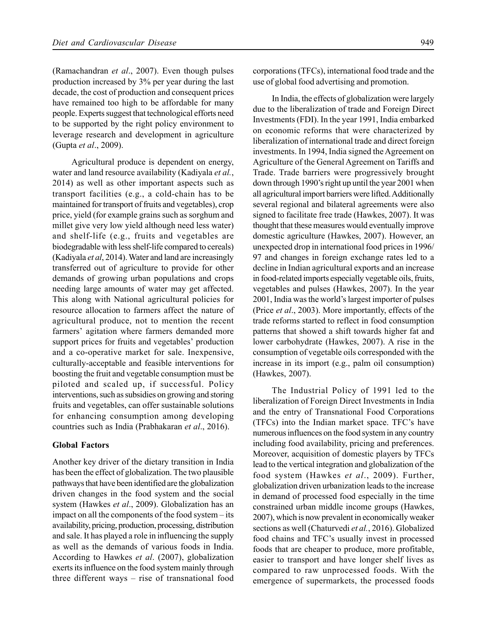(Ramachandran *et al*., 2007). Even though pulses production increased by 3% per year during the last decade, the cost of production and consequent prices have remained too high to be affordable for many people. Experts suggest that technological efforts need to be supported by the right policy environment to leverage research and development in agriculture (Gupta *et al*., 2009).

Agricultural produce is dependent on energy, water and land resource availability (Kadiyala *et al.*, 2014) as well as other important aspects such as transport facilities (e.g., a cold-chain has to be maintained for transport of fruits and vegetables), crop price, yield (for example grains such as sorghum and millet give very low yield although need less water) and shelf-life (e.g., fruits and vegetables are biodegradable with less shelf-life compared to cereals) (Kadiyala *et al*, 2014). Water and land are increasingly transferred out of agriculture to provide for other demands of growing urban populations and crops needing large amounts of water may get affected. This along with National agricultural policies for resource allocation to farmers affect the nature of agricultural produce, not to mention the recent farmers' agitation where farmers demanded more support prices for fruits and vegetables' production and a co-operative market for sale. Inexpensive, culturally-acceptable and feasible interventions for boosting the fruit and vegetable consumption must be piloted and scaled up, if successful. Policy interventions, such as subsidies on growing and storing fruits and vegetables, can offer sustainable solutions for enhancing consumption among developing countries such as India (Prabhakaran *et al*., 2016).

# **Global Factors**

Another key driver of the dietary transition in India has been the effect of globalization. The two plausible pathways that have been identified are the globalization driven changes in the food system and the social system (Hawkes *et al*., 2009). Globalization has an impact on all the components of the food system – its availability, pricing, production, processing, distribution and sale. It has played a role in influencing the supply as well as the demands of various foods in India. According to Hawkes *et al*. (2007), globalization exerts its influence on the food system mainly through three different ways – rise of transnational food corporations (TFCs), international food trade and the use of global food advertising and promotion.

In India, the effects of globalization were largely due to the liberalization of trade and Foreign Direct Investments (FDI). In the year 1991, India embarked on economic reforms that were characterized by liberalization of international trade and direct foreign investments. In 1994, India signed the Agreement on Agriculture of the General Agreement on Tariffs and Trade. Trade barriers were progressively brought down through 1990's right up until the year 2001 when all agricultural import barriers were lifted. Additionally several regional and bilateral agreements were also signed to facilitate free trade (Hawkes, 2007). It was thought that these measures would eventually improve domestic agriculture (Hawkes, 2007). However, an unexpected drop in international food prices in 1996/ 97 and changes in foreign exchange rates led to a decline in Indian agricultural exports and an increase in food-related imports especially vegetable oils, fruits, vegetables and pulses (Hawkes, 2007). In the year 2001, India was the world's largest importer of pulses (Price *et al*., 2003). More importantly, effects of the trade reforms started to reflect in food consumption patterns that showed a shift towards higher fat and lower carbohydrate (Hawkes, 2007). A rise in the consumption of vegetable oils corresponded with the increase in its import (e.g., palm oil consumption) (Hawkes, 2007).

The Industrial Policy of 1991 led to the liberalization of Foreign Direct Investments in India and the entry of Transnational Food Corporations (TFCs) into the Indian market space. TFC's have numerous influences on the food system in any country including food availability, pricing and preferences. Moreover, acquisition of domestic players by TFCs lead to the vertical integration and globalization of the food system (Hawkes *et al*., 2009). Further, globalization driven urbanization leads to the increase in demand of processed food especially in the time constrained urban middle income groups (Hawkes, 2007), which is now prevalent in economically weaker sections as well (Chaturvedi *et al.*, 2016). Globalized food chains and TFC's usually invest in processed foods that are cheaper to produce, more profitable, easier to transport and have longer shelf lives as compared to raw unprocessed foods. With the emergence of supermarkets, the processed foods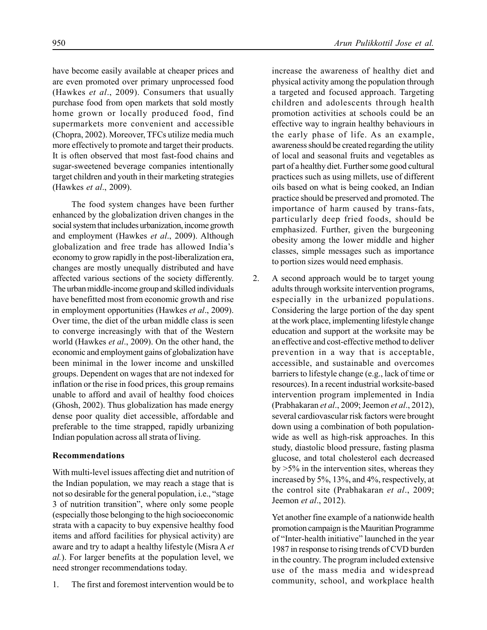have become easily available at cheaper prices and are even promoted over primary unprocessed food (Hawkes *et al*., 2009). Consumers that usually purchase food from open markets that sold mostly home grown or locally produced food, find supermarkets more convenient and accessible (Chopra, 2002). Moreover, TFCs utilize media much more effectively to promote and target their products. It is often observed that most fast-food chains and sugar-sweetened beverage companies intentionally target children and youth in their marketing strategies (Hawkes *et al*., 2009).

The food system changes have been further enhanced by the globalization driven changes in the social system that includes urbanization, income growth and employment (Hawkes *et al*., 2009). Although globalization and free trade has allowed India's economy to grow rapidly in the post-liberalization era, changes are mostly unequally distributed and have affected various sections of the society differently. The urban middle-income group and skilled individuals have benefitted most from economic growth and rise in employment opportunities (Hawkes *et al*., 2009). Over time, the diet of the urban middle class is seen to converge increasingly with that of the Western world (Hawkes *et al*., 2009). On the other hand, the economic and employment gains of globalization have been minimal in the lower income and unskilled groups. Dependent on wages that are not indexed for inflation or the rise in food prices, this group remains unable to afford and avail of healthy food choices (Ghosh, 2002). Thus globalization has made energy dense poor quality diet accessible, affordable and preferable to the time strapped, rapidly urbanizing Indian population across all strata of living.

# **Recommendations**

With multi-level issues affecting diet and nutrition of the Indian population, we may reach a stage that is not so desirable for the general population, i.e., "stage 3 of nutrition transition", where only some people (especially those belonging to the high socioeconomic strata with a capacity to buy expensive healthy food items and afford facilities for physical activity) are aware and try to adapt a healthy lifestyle (Misra A *et al.*). For larger benefits at the population level, we need stronger recommendations today.

1. The first and foremost intervention would be to

increase the awareness of healthy diet and physical activity among the population through a targeted and focused approach. Targeting children and adolescents through health promotion activities at schools could be an effective way to ingrain healthy behaviours in the early phase of life. As an example, awareness should be created regarding the utility of local and seasonal fruits and vegetables as part of a healthy diet. Further some good cultural practices such as using millets, use of different oils based on what is being cooked, an Indian practice should be preserved and promoted. The importance of harm caused by trans-fats, particularly deep fried foods, should be emphasized. Further, given the burgeoning obesity among the lower middle and higher classes, simple messages such as importance to portion sizes would need emphasis.

2. A second approach would be to target young adults through worksite intervention programs, especially in the urbanized populations. Considering the large portion of the day spent at the work place, implementing lifestyle change education and support at the worksite may be an effective and cost-effective method to deliver prevention in a way that is acceptable, accessible, and sustainable and overcomes barriers to lifestyle change (e.g., lack of time or resources). In a recent industrial worksite-based intervention program implemented in India (Prabhakaran *et al*., 2009; Jeemon *et al*., 2012), several cardiovascular risk factors were brought down using a combination of both populationwide as well as high-risk approaches. In this study, diastolic blood pressure, fasting plasma glucose, and total cholesterol each decreased  $by >5\%$  in the intervention sites, whereas they increased by 5%, 13%, and 4%, respectively, at the control site (Prabhakaran *et al*., 2009; Jeemon *et al*., 2012).

> Yet another fine example of a nationwide health promotion campaign is the Mauritian Programme of "Inter-health initiative" launched in the year 1987 in response to rising trends of CVD burden in the country. The program included extensive use of the mass media and widespread community, school, and workplace health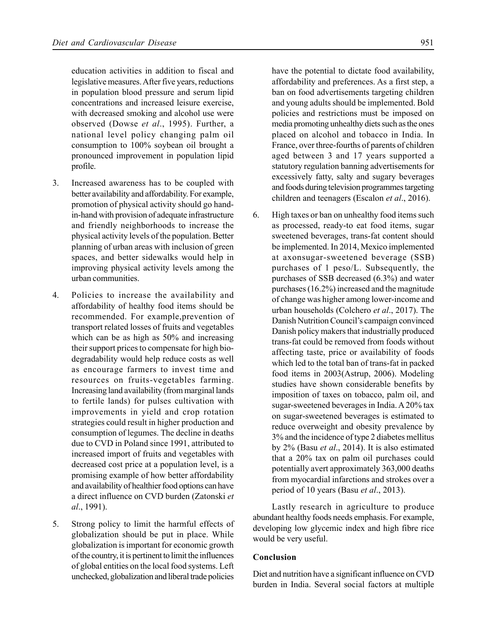education activities in addition to fiscal and legislative measures. After five years, reductions in population blood pressure and serum lipid concentrations and increased leisure exercise, with decreased smoking and alcohol use were observed (Dowse *et al*., 1995). Further, a national level policy changing palm oil consumption to 100% soybean oil brought a pronounced improvement in population lipid profile.

- 3. Increased awareness has to be coupled with better availability and affordability. For example, promotion of physical activity should go handin-hand with provision of adequate infrastructure and friendly neighborhoods to increase the physical activity levels of the population. Better planning of urban areas with inclusion of green spaces, and better sidewalks would help in improving physical activity levels among the urban communities.
- 4. Policies to increase the availability and affordability of healthy food items should be recommended. For example,prevention of transport related losses of fruits and vegetables which can be as high as 50% and increasing their support prices to compensate for high biodegradability would help reduce costs as well as encourage farmers to invest time and resources on fruits-vegetables farming. Increasing land availability (from marginal lands to fertile lands) for pulses cultivation with improvements in yield and crop rotation strategies could result in higher production and consumption of legumes. The decline in deaths due to CVD in Poland since 1991, attributed to increased import of fruits and vegetables with decreased cost price at a population level, is a promising example of how better affordability and availability of healthier food options can have a direct influence on CVD burden (Zatonski *et al*., 1991).
- 5. Strong policy to limit the harmful effects of globalization should be put in place. While globalization is important for economic growth of the country, it is pertinent to limit the influences of global entities on the local food systems. Left unchecked, globalization and liberal trade policies

have the potential to dictate food availability, affordability and preferences. As a first step, a ban on food advertisements targeting children and young adults should be implemented. Bold policies and restrictions must be imposed on media promoting unhealthy diets such as the ones placed on alcohol and tobacco in India. In France, over three-fourths of parents of children aged between 3 and 17 years supported a statutory regulation banning advertisements for excessively fatty, salty and sugary beverages and foods during television programmes targeting children and teenagers (Escalon *et al*., 2016).

6. High taxes or ban on unhealthy food items such as processed, ready-to eat food items, sugar sweetened beverages, trans-fat content should be implemented. In 2014, Mexico implemented at axonsugar-sweetened beverage (SSB) purchases of 1 peso/L. Subsequently, the purchases of SSB decreased (6.3%) and water purchases (16.2%) increased and the magnitude of change was higher among lower-income and urban households (Colchero *et al*., 2017). The Danish Nutrition Council's campaign convinced Danish policy makers that industrially produced trans-fat could be removed from foods without affecting taste, price or availability of foods which led to the total ban of trans-fat in packed food items in 2003(Astrup, 2006). Modeling studies have shown considerable benefits by imposition of taxes on tobacco, palm oil, and sugar-sweetened beverages in India. A 20% tax on sugar-sweetened beverages is estimated to reduce overweight and obesity prevalence by 3% and the incidence of type 2 diabetes mellitus by 2% (Basu *et al*., 2014). It is also estimated that a 20% tax on palm oil purchases could potentially avert approximately 363,000 deaths from myocardial infarctions and strokes over a period of 10 years (Basu *et al*., 2013).

Lastly research in agriculture to produce abundant healthy foods needs emphasis. For example, developing low glycemic index and high fibre rice would be very useful.

## **Conclusion**

Diet and nutrition have a significant influence on CVD burden in India. Several social factors at multiple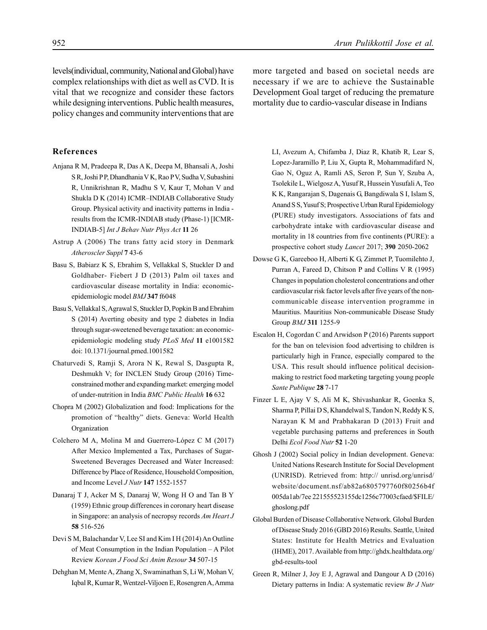levels(individual, community, National and Global) have complex relationships with diet as well as CVD. It is vital that we recognize and consider these factors while designing interventions. Public health measures, policy changes and community interventions that are

#### **References**

- Anjana R M, Pradeepa R, Das A K, Deepa M, Bhansali A, Joshi S R, Joshi P P, Dhandhania V K, Rao P V, Sudha V, Subashini R, Unnikrishnan R, Madhu S V, Kaur T, Mohan V and Shukla D K (2014) ICMR–INDIAB Collaborative Study Group. Physical activity and inactivity patterns in India results from the ICMR-INDIAB study (Phase-1) [ICMR-INDIAB-5] *Int J Behav Nutr Phys Act* **11** 26
- Astrup A (2006) The trans fatty acid story in Denmark *Atheroscler Suppl* **7** 43-6
- Basu S, Babiarz K S, Ebrahim S, Vellakkal S, Stuckler D and Goldhaber- Fiebert J D (2013) Palm oil taxes and cardiovascular disease mortality in India: economicepidemiologic model *BMJ* **347** f6048
- Basu S, Vellakkal S, Agrawal S, Stuckler D, Popkin B and Ebrahim S (2014) Averting obesity and type 2 diabetes in India through sugar-sweetened beverage taxation: an economicepidemiologic modeling study *PLoS Med* **11** e1001582 doi: 10.1371/journal.pmed.1001582
- Chaturvedi S, Ramji S, Arora N K, Rewal S, Dasgupta R, Deshmukh V; for INCLEN Study Group (2016) Timeconstrained mother and expanding market: emerging model of under-nutrition in India *BMC Public Health* **16** 632
- Chopra M (2002) Globalization and food: Implications for the promotion of "healthy" diets. Geneva: World Health Organization
- Colchero M A, Molina M and Guerrero-López C M (2017) After Mexico Implemented a Tax, Purchases of Sugar-Sweetened Beverages Decreased and Water Increased: Difference by Place of Residence, Household Composition, and Income Level *J Nutr* **147** 1552-1557
- Danaraj T J, Acker M S, Danaraj W, Wong H O and Tan B Y (1959) Ethnic group differences in coronary heart disease in Singapore: an analysis of necropsy records *Am Heart J* **58** 516-526
- Devi S M, Balachandar V, Lee SI and Kim I H (2014) An Outline of Meat Consumption in the Indian Population – A Pilot Review *Korean J Food Sci Anim Resour* **34** 507-15
- Dehghan M, Mente A, Zhang X, Swaminathan S, Li W, Mohan V, Iqbal R, Kumar R, Wentzel-Viljoen E, Rosengren A, Amma

more targeted and based on societal needs are necessary if we are to achieve the Sustainable Development Goal target of reducing the premature mortality due to cardio-vascular disease in Indians

LI, Avezum A, Chifamba J, Diaz R, Khatib R, Lear S, Lopez-Jaramillo P, Liu X, Gupta R, Mohammadifard N, Gao N, Oguz A, Ramli AS, Seron P, Sun Y, Szuba A, Tsolekile L, Wielgosz A, Yusuf R, Hussein Yusufali A, Teo K K, Rangarajan S, Dagenais G, Bangdiwala S I, Islam S, Anand S S, Yusuf S; Prospective Urban Rural Epidemiology (PURE) study investigators. Associations of fats and carbohydrate intake with cardiovascular disease and mortality in 18 countries from five continents (PURE): a prospective cohort study *Lancet* 2017; **390** 2050-2062

- Dowse G K, Gareeboo H, Alberti K G, Zimmet P, Tuomilehto J, Purran A, Fareed D, Chitson P and Collins V R (1995) Changes in population cholesterol concentrations and other cardiovascular risk factor levels after five years of the noncommunicable disease intervention programme in Mauritius. Mauritius Non-communicable Disease Study Group *BMJ* **311** 1255-9
- Escalon H, Cogordan C and Arwidson P (2016) Parents support for the ban on television food advertising to children is particularly high in France, especially compared to the USA. This result should influence political decisionmaking to restrict food marketing targeting young people *Sante Publique* **28** 7-17
- Finzer L E, Ajay V S, Ali M K, Shivashankar R, Goenka S, Sharma P, Pillai D S, Khandelwal S, Tandon N, Reddy K S, Narayan K M and Prabhakaran D (2013) Fruit and vegetable purchasing patterns and preferences in South Delhi *Ecol Food Nutr* **52** 1-20
- Ghosh J (2002) Social policy in Indian development. Geneva: United Nations Research Institute for Social Development (UNRISD). Retrieved from: http:// unrisd.org/unrisd/ website/document.nsf/ab82a6805797760f80256b4f 005da1ab/7ee 221555523155dc1256c77003cfaed/\$FILE/ ghoslong.pdf
- Global Burden of Disease Collaborative Network. Global Burden of Disease Study 2016 (GBD 2016) Results. Seattle, United States: Institute for Health Metrics and Evaluation (IHME), 2017. Available from http://ghdx.healthdata.org/ gbd-results-tool
- Green R, Milner J, Joy E J, Agrawal and Dangour A D (2016) Dietary patterns in India: A systematic review *Br J Nutr*